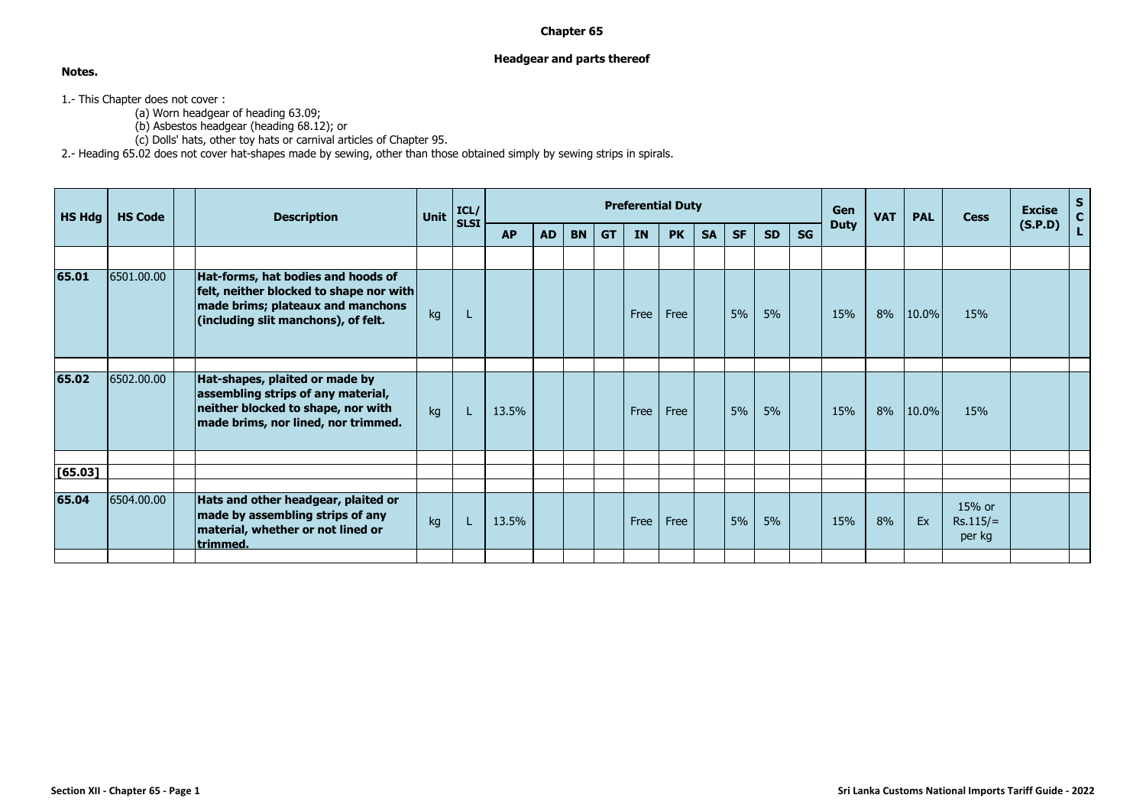## **Chapter 65**

## **Headgear and parts thereof**

**Notes.**

1.- This Chapter does not cover :

(a) Worn headgear of heading 63.09;

(b) Asbestos headgear (heading 68.12); or

(c) Dolls' hats, other toy hats or carnival articles of Chapter 95.

2.- Heading 65.02 does not cover hat-shapes made by sewing, other than those obtained simply by sewing strips in spirals.

|            | <b>Description</b>                                                       | Unit                                                                                                                                                                                                                                                                           | ICL/                                    |           |           |           |           | <b>Preferential Duty</b> |           |           |           |           |           | Gen         | <b>VAT</b> | <b>PAL</b> | <b>Cess</b>                    | <b>Excise</b><br>(S.P.D) | $S_{C}$     |
|------------|--------------------------------------------------------------------------|--------------------------------------------------------------------------------------------------------------------------------------------------------------------------------------------------------------------------------------------------------------------------------|-----------------------------------------|-----------|-----------|-----------|-----------|--------------------------|-----------|-----------|-----------|-----------|-----------|-------------|------------|------------|--------------------------------|--------------------------|-------------|
|            |                                                                          |                                                                                                                                                                                                                                                                                | <b>SLSI</b>                             | <b>AP</b> | <b>AD</b> | <b>BN</b> | <b>GT</b> | <b>IN</b>                | <b>PK</b> | <b>SA</b> | <b>SF</b> | <b>SD</b> | <b>SG</b> | <b>Duty</b> |            |            |                                |                          | $\mathbf L$ |
|            |                                                                          |                                                                                                                                                                                                                                                                                |                                         |           |           |           |           |                          |           |           |           |           |           |             |            |            |                                |                          |             |
| 6501.00.00 |                                                                          | kg                                                                                                                                                                                                                                                                             |                                         |           |           |           |           | Free                     | Free      |           | 5%        | 5%        |           | 15%         | 8%         | 10.0%      | 15%                            |                          |             |
|            |                                                                          |                                                                                                                                                                                                                                                                                |                                         |           |           |           |           |                          |           |           |           |           |           |             |            |            |                                |                          |             |
| 6502.00.00 | assembling strips of any material,<br>neither blocked to shape, nor with | kg                                                                                                                                                                                                                                                                             | L.                                      | 13.5%     |           |           |           | Free                     | Free      |           | 5%        | 5%        |           | 15%         | 8%         | 10.0%      | 15%                            |                          |             |
|            |                                                                          |                                                                                                                                                                                                                                                                                |                                         |           |           |           |           |                          |           |           |           |           |           |             |            |            |                                |                          |             |
|            |                                                                          |                                                                                                                                                                                                                                                                                |                                         |           |           |           |           |                          |           |           |           |           |           |             |            |            |                                |                          |             |
| 6504.00.00 | material, whether or not lined or                                        | kg                                                                                                                                                                                                                                                                             | L.                                      | 13.5%     |           |           |           | Free                     | Free      |           | 5%        | 5%        |           | 15%         | 8%         | Ex         | 15% or<br>$Rs.115/=$<br>per kg |                          |             |
|            |                                                                          | Hat-forms, hat bodies and hoods of<br>made brims; plateaux and manchons<br>(including slit manchons), of felt.<br>Hat-shapes, plaited or made by<br>made brims, nor lined, nor trimmed.<br>Hats and other headgear, plaited or<br>made by assembling strips of any<br>trimmed. | felt, neither blocked to shape nor with |           |           |           |           |                          |           |           |           |           |           |             |            |            |                                |                          |             |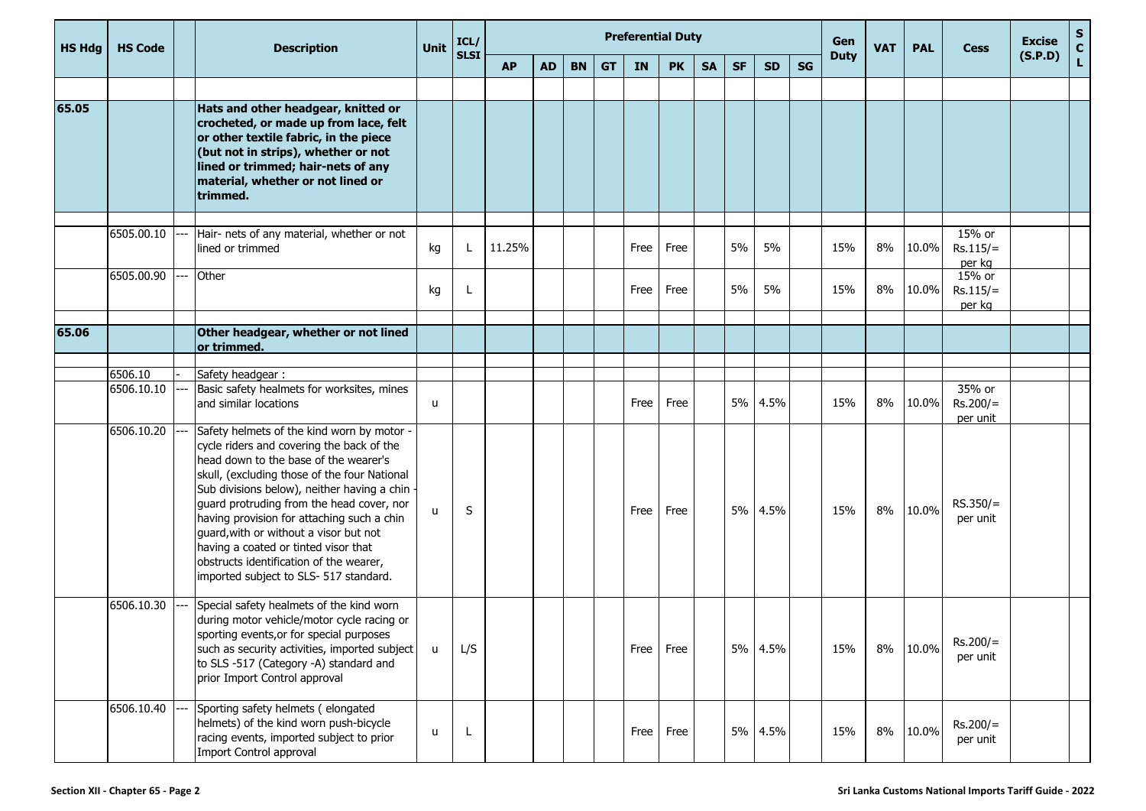| <b>HS Hdg</b> | <b>HS Code</b>        |                                   | <b>Description</b>                                                                                                                                                                                                                                                                                                                                                                                                                                                                                  | Unit | ICL/        |           |           |           |           |             | <b>Preferential Duty</b> |           |           |           |    | Gen         | <b>VAT</b> | <b>PAL</b> | <b>Cess</b>                              | <b>Excise</b><br>(S.P.D) | $\mathbf{s}$<br>$\mathbf{C}$ |
|---------------|-----------------------|-----------------------------------|-----------------------------------------------------------------------------------------------------------------------------------------------------------------------------------------------------------------------------------------------------------------------------------------------------------------------------------------------------------------------------------------------------------------------------------------------------------------------------------------------------|------|-------------|-----------|-----------|-----------|-----------|-------------|--------------------------|-----------|-----------|-----------|----|-------------|------------|------------|------------------------------------------|--------------------------|------------------------------|
|               |                       |                                   |                                                                                                                                                                                                                                                                                                                                                                                                                                                                                                     |      | <b>SLSI</b> | <b>AP</b> | <b>AD</b> | <b>BN</b> | <b>GT</b> | IN          | <b>PK</b>                | <b>SA</b> | <b>SF</b> | <b>SD</b> | SG | <b>Duty</b> |            |            |                                          |                          | L.                           |
|               |                       |                                   |                                                                                                                                                                                                                                                                                                                                                                                                                                                                                                     |      |             |           |           |           |           |             |                          |           |           |           |    |             |            |            |                                          |                          |                              |
| 65.05         |                       |                                   | Hats and other headgear, knitted or<br>crocheted, or made up from lace, felt<br>or other textile fabric, in the piece<br>(but not in strips), whether or not<br>lined or trimmed; hair-nets of any<br>material, whether or not lined or<br>trimmed.                                                                                                                                                                                                                                                 |      |             |           |           |           |           |             |                          |           |           |           |    |             |            |            |                                          |                          |                              |
|               | 6505.00.10            | $\hspace{0.05cm} \dashrightarrow$ | Hair- nets of any material, whether or not<br>lined or trimmed                                                                                                                                                                                                                                                                                                                                                                                                                                      | kg   |             | 11.25%    |           |           |           | Free        | Free                     |           | 5%        | 5%        |    | 15%         | 8%         | 10.0%      | 15% or<br>$Rs.115/=$                     |                          |                              |
|               | 6505.00.90            | ---                               | Other                                                                                                                                                                                                                                                                                                                                                                                                                                                                                               | kg   |             |           |           |           |           | Free        | Free                     |           | 5%        | 5%        |    | 15%         | 8%         | 10.0%      | per kg<br>15% or<br>$Rs.115/=$<br>per kg |                          |                              |
| 65.06         |                       |                                   | Other headgear, whether or not lined<br>or trimmed.                                                                                                                                                                                                                                                                                                                                                                                                                                                 |      |             |           |           |           |           |             |                          |           |           |           |    |             |            |            |                                          |                          |                              |
|               |                       |                                   |                                                                                                                                                                                                                                                                                                                                                                                                                                                                                                     |      |             |           |           |           |           |             |                          |           |           |           |    |             |            |            |                                          |                          |                              |
|               | 6506.10<br>6506.10.10 |                                   | Safety headgear:<br>Basic safety healmets for worksites, mines<br>and similar locations                                                                                                                                                                                                                                                                                                                                                                                                             | u    |             |           |           |           |           | Free        | Free                     |           |           | 5% 4.5%   |    | 15%         | 8%         | 10.0%      | 35% or<br>$Rs.200/=$<br>per unit         |                          |                              |
|               | 6506.10.20            |                                   | Safety helmets of the kind worn by motor -<br>cycle riders and covering the back of the<br>head down to the base of the wearer's<br>skull, (excluding those of the four National<br>Sub divisions below), neither having a chin -<br>guard protruding from the head cover, nor<br>having provision for attaching such a chin<br>guard, with or without a visor but not<br>having a coated or tinted visor that<br>obstructs identification of the wearer,<br>imported subject to SLS- 517 standard. | u    | S           |           |           |           |           | Free        | Free                     |           |           | 5% 4.5%   |    | 15%         | 8%         | 10.0%      | $RS.350/=$<br>per unit                   |                          |                              |
|               | 6506.10.30            |                                   | Special safety healmets of the kind worn<br>during motor vehicle/motor cycle racing or<br>sporting events,or for special purposes<br>such as security activities, imported subject<br>to SLS -517 (Category -A) standard and<br>prior Import Control approval                                                                                                                                                                                                                                       | u    | L/S         |           |           |           |           | <b>Free</b> | Free                     |           |           | 5% 4.5%   |    | 15%         | 8%         | 10.0%      | $Rs.200/=$<br>per unit                   |                          |                              |
|               | 6506.10.40            |                                   | Sporting safety helmets (elongated<br>helmets) of the kind worn push-bicycle<br>racing events, imported subject to prior<br>Import Control approval                                                                                                                                                                                                                                                                                                                                                 | u    | L           |           |           |           |           | Free        | Free                     |           |           | 5% 4.5%   |    | 15%         | 8%         | 10.0%      | $Rs.200/=$<br>per unit                   |                          |                              |